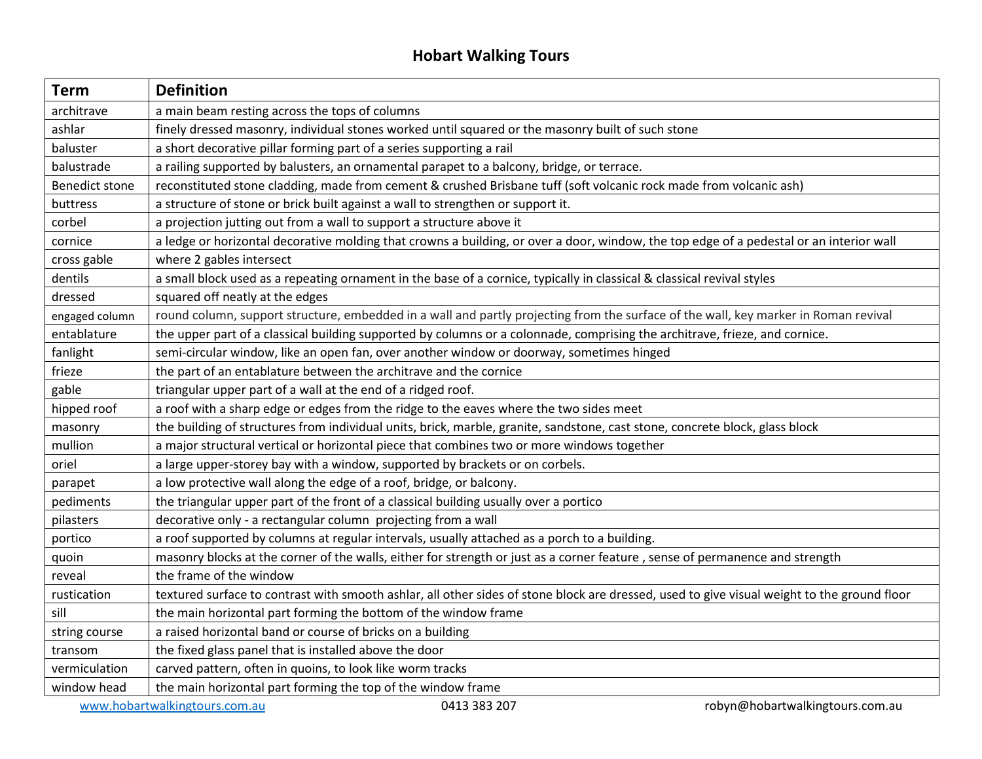## **Hobart Walking Tours**

| <b>Term</b>                                                                      | <b>Definition</b>                                                                                                                           |
|----------------------------------------------------------------------------------|---------------------------------------------------------------------------------------------------------------------------------------------|
| architrave                                                                       | a main beam resting across the tops of columns                                                                                              |
| ashlar                                                                           | finely dressed masonry, individual stones worked until squared or the masonry built of such stone                                           |
| baluster                                                                         | a short decorative pillar forming part of a series supporting a rail                                                                        |
| balustrade                                                                       | a railing supported by balusters, an ornamental parapet to a balcony, bridge, or terrace.                                                   |
| <b>Benedict stone</b>                                                            | reconstituted stone cladding, made from cement & crushed Brisbane tuff (soft volcanic rock made from volcanic ash)                          |
| buttress                                                                         | a structure of stone or brick built against a wall to strengthen or support it.                                                             |
| corbel                                                                           | a projection jutting out from a wall to support a structure above it                                                                        |
| cornice                                                                          | a ledge or horizontal decorative molding that crowns a building, or over a door, window, the top edge of a pedestal or an interior wall     |
| cross gable                                                                      | where 2 gables intersect                                                                                                                    |
| dentils                                                                          | a small block used as a repeating ornament in the base of a cornice, typically in classical & classical revival styles                      |
| dressed                                                                          | squared off neatly at the edges                                                                                                             |
| engaged column                                                                   | round column, support structure, embedded in a wall and partly projecting from the surface of the wall, key marker in Roman revival         |
| entablature                                                                      | the upper part of a classical building supported by columns or a colonnade, comprising the architrave, frieze, and cornice.                 |
| fanlight                                                                         | semi-circular window, like an open fan, over another window or doorway, sometimes hinged                                                    |
| frieze                                                                           | the part of an entablature between the architrave and the cornice                                                                           |
| gable                                                                            | triangular upper part of a wall at the end of a ridged roof.                                                                                |
| hipped roof                                                                      | a roof with a sharp edge or edges from the ridge to the eaves where the two sides meet                                                      |
| masonry                                                                          | the building of structures from individual units, brick, marble, granite, sandstone, cast stone, concrete block, glass block                |
| mullion                                                                          | a major structural vertical or horizontal piece that combines two or more windows together                                                  |
| oriel                                                                            | a large upper-storey bay with a window, supported by brackets or on corbels.                                                                |
| parapet                                                                          | a low protective wall along the edge of a roof, bridge, or balcony.                                                                         |
| pediments                                                                        | the triangular upper part of the front of a classical building usually over a portico                                                       |
| pilasters                                                                        | decorative only - a rectangular column projecting from a wall                                                                               |
| portico                                                                          | a roof supported by columns at regular intervals, usually attached as a porch to a building.                                                |
| quoin                                                                            | masonry blocks at the corner of the walls, either for strength or just as a corner feature, sense of permanence and strength                |
| reveal                                                                           | the frame of the window                                                                                                                     |
| rustication                                                                      | textured surface to contrast with smooth ashlar, all other sides of stone block are dressed, used to give visual weight to the ground floor |
| sill                                                                             | the main horizontal part forming the bottom of the window frame                                                                             |
| string course                                                                    | a raised horizontal band or course of bricks on a building                                                                                  |
| transom                                                                          | the fixed glass panel that is installed above the door                                                                                      |
| vermiculation                                                                    | carved pattern, often in quoins, to look like worm tracks                                                                                   |
| window head                                                                      | the main horizontal part forming the top of the window frame                                                                                |
| www.hobartwalkingtours.com.au<br>0413 383 207<br>robyn@hobartwalkingtours.com.au |                                                                                                                                             |